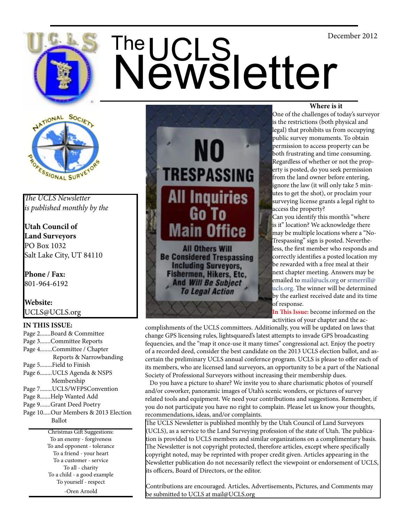

# US The UCLS<br>
Newsletter



# *The UCLS Newsletter is published monthly by the*

**Utah Council of Land Surveyors** PO Box 1032 Salt Lake City, UT 84110

**Phone / Fax:**  801-964-6192

**Website:** UCLS@UCLS.org

# **IN THIS ISSUE:**

Page 2.......Board & Committee Page 3.......Committee Reports Page 4........Committee / Chapter Reports & Narrowbanding Page 5........Field to Finish Page 6........UCLS Agenda & NSPS Membership Page 7........UCLS/WFPSConvention Page 8.......Help Wanted Add Page 9.......Grant Deed Poetry Page 10.....Our Members & 2013 Election Ballot

Christmas Gift Suggestions: To an enemy - forgiveness To and opponent - tolerance To a friend - your heart To a customer - service To all - charity To a child - a good example To yourself - respect -Oren Arnold



**Be Considered Trespassing Including Surveyors,** Fishermen, Hikers, Etc.<br>And Will Be Subject **To Legal Action** 

# **Where is it**

 One of the challenges of today's surveyor is the restrictions (both physical and legal) that prohibits us from occupying public survey monuments. To obtain permission to access property can be both frustrating and time consuming. Regardless of whether or not the property is posted, do you seek permission from the land owner before entering, ignore the law (it will only take 5 minutes to get the shot), or proclaim your surveying license grants a legal right to access the property?

is it" location? We acknowledge there may be multiple locations where a "No-Trespassing" sign is posted. Nevertheless, the first member who responds and correctly identifies a posted location my be rewarded with a free meal at their next chapter meeting. Answers may be emailed to mail@ucls.org or srmerrill@ ucls.org. The winner will be determined by the earliest received date and its time of response.

**In This Issue:** become informed on the activities of your chapter and the ac-

complishments of the UCLS committees. Additionally, you will be updated on laws that change GPS licensing rules, lightsquared's latest attempts to invade GPS broadcasting fequencies, and the "map it once-use it many times" congressional act. Enjoy the poetry of a recorded deed, consider the best candidate on the 2013 UCLS election ballot, and ascertain the preliminary UCLS annual confernce program. UCLS is please to offer each of its members, who are licensed land surveyors, an opportunity to be a part of the National Society of Professional Surveyors without increasing their membership dues.

 Do you have a picture to share? We invite you to share charismatic photos of yourself and/or coworker, panoramic images of Utah's scenic wonders, or pictures of survey related tools and equipment. We need your contributions and suggestions. Remember, if you do not participate you have no right to complain. Please let us know your thoughts, recommendations, ideas, and/or complaints.

The UCLS Newsletter is published monthly by the Utah Council of Land Surveyors (UCLS), as a service to the Land Surveying profession of the state of Utah. The publication is provided to UCLS members and similar organizations on a complimentary basis. The Newsletter is not copyright protected, therefore articles, except where specifically copyright noted, may be reprinted with proper credit given. Articles appearing in the Newsletter publication do not necessarily reflect the viewpoint or endorsement of UCLS, its officers, Board of Directors, or the editor.

Contributions are encouraged. Articles, Advertisements, Pictures, and Comments may be submitted to UCLS at mail@UCLS.org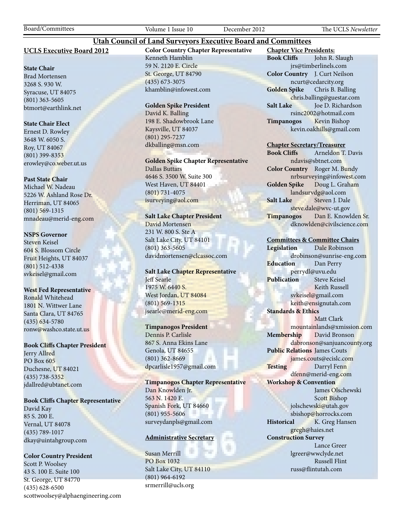# **UCLS Executive Board 2012**

### **State Chair**

Brad Mortensen 3268 S. 930 W. Syracuse, UT 84075 (801) 363-5605 btmort@earthlink.net

# **State Chair Elect**

Ernest D. Rowley 3648 W. 6050 S. Roy, UT 84067 (801) 399-8353 erowley@co.weber.ut.us

### **Past State Chair**

Michael W. Nadeau 5226 W. Ashland Rose Dr. Herriman, UT 84065 (801) 569-1315 mnadeau@merid-eng.com

### **NSPS Governor**

Steven Keisel 604 S. Blossom Circle Fruit Heights, UT 84037 (801) 512-4338 svkeisel@gmail.com

# **West Fed Representative**

Ronald Whitehead 1801 N. Wittwer Lane Santa Clara, UT 84765 (435) 634-5780 ronw@washco.state.ut.us

# **Book Cliffs Chapter President**

Jerry Allred PO Box 605 Duchesne, UT 84021 (435) 738-5352 jdallred@ubtanet.com

### **Book Cliffs Chapter Representative**

David Kay 85 S. 200 E. Vernal, UT 84078 (435) 789-1017 dkay@uintahgroup.com

# **Color Country President**

Scott P. Woolsey 43 S. 100 E. Suite 100 St. George, UT 84770 (435) 628-6500 scottwoolsey@alphaengineering.com **Color Country Chapter Representative** Kenneth Hamblin 59 N. 2120 E. Circle St. George, UT 84790 (435) 673-3075 khamblin@infowest.com

**Utah Council of Land Surveyors Executive Board and Committees**

### **Golden Spike President**

David K. Balling 198 E. Shadowbrook Lane Kaysville, UT 84037 (801) 295-7237 dkballing@msn.com

**Golden Spike Chapter Representative** Dallas Buttars 4646 S. 3500 W. Suite 300 West Haven, UT 84401

(801) 731-4075 isurveying@aol.com

# **Salt Lake Chapter President**

David Mortensen 231 W. 800 S. Ste A Salt Lake City, UT 84101 (801) 363-5605 davidmortensen@clcassoc.com

# **Salt Lake Chapter Representative** Jeff Searle 1975 W. 6440 S. West Jordan, UT 84084 (801) 569-1315 jsearle@merid-eng.com

# **Timpanogos President**

Dennis P. Carlisle 867 S. Anna Ekins Lane Genola, UT 84655 (801) 362-8669 dpcarlisle1957@gmail.com

**Timpanogos Chapter Representative** Dan Knowlden Jr. 563 N. 1420 E. Spanish Fork, UT 84660 (801) 955-5606 surveydanpls@gmail.com

# **Administrative Secretary**

Susan Merrill PO Box 1032 Salt Lake City, UT 84110 (801) 964-6192 srmerrill@ucls.org

**Chapter Vice Presidents: Book Cliffs** John R. Slaugh jrs@timberlinels.com **Color Country** J. Curt Neilson ncurt@cedarcity.org **Golden Spike** Chris B. Balling chris.balling@guestar.com **Salt Lake** Joe D. Richardson rsinc2002@hotmail.com **Timpanogos** Kevin Bishop kevin.oakhills@gmail.com

### **Chapter Secretary/Treasurer**

**Book Cliffs** Arneldon T. Davis ndavis@sbtnet.com **Color Country** Roger M. Bundy nrbsurveying@infowest.com **Golden Spike** Doug L. Graham landsurvdg@aol.com **Salt Lake** Steven J. Dale steve.dale@wvc-ut.gov **Timpanogos** Dan E. Knowlden Sr. dknowlden@civilscience.com

# **Committees & Committee Chairs**

**Legislation** Dale Robinson drobinson@sunrise-eng.com **Education** Dan Perry perrydl@uvu.edu **Publication** Steve Keisel Keith Russell svkeisel@gmail.com keith@ensignutah.com **Standards & Ethics** Matt Clark mountainlands@xmission.com **Membership** David Bronson dabronson@sanjuancounty.org **Public Relations** James Couts james.couts@ecislc.com Testing Darryl Fenn dfenn@merid-eng.com **Workshop & Convention** James Olschewski Scott Bishop jolschewski@utah.gov sbishop@horrocks.com **Historical** K. Greg Hansen gregh@haies.net **Construction Survey** Lance Greer lgreer@wwclyde.net Russell Flint russ@flintutah.com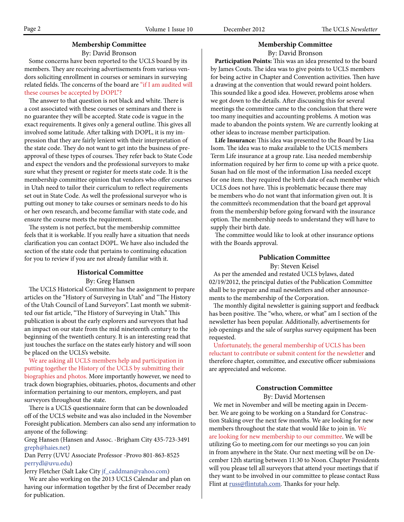# **Membership Committee**

By: David Bronson

 Some concerns have been reported to the UCLS board by its members. They are receiving advertisements from various vendors soliciting enrollment in courses or seminars in surveying related fields. The concerns of the board are "if I am audited will these courses be accepted by DOPL"?

 The answer to that question is not black and white. There is a cost associated with these courses or seminars and there is no guarantee they will be accepted. State code is vague in the exact requirements. It gives only a general outline. This gives all involved some latitude. After talking with DOPL, it is my impression that they are fairly lenient with their interpretation of the state code. They do not want to get into the business of preapproval of these types of courses. They refer back to State Code and expect the vendors and the professional surveyors to make sure what they present or register for meets state code. It is the membership committee opinion that vendors who offer courses in Utah need to tailor their curriculum to reflect requirements set out in State Code. As well the professional surveyor who is putting out money to take courses or seminars needs to do his or her own research, and become familiar with state code, and ensure the course meets the requirement.

 The system is not perfect, but the membership committee feels that it is workable. If you really have a situation that needs clarification you can contact DOPL. We have also included the section of the state code that pertains to continuing education for you to review if you are not already familiar with it.

# **Historical Committee**

By: Greg Hansen

 The UCLS Historical Committee has the assignment to prepare articles on the "History of Surveying in Utah" and "The History of the Utah Council of Land Surveyors". Last month we submitted our fist article, "The History of Surveying in Utah." This publication is about the early explorers and surveyors that had an impact on our state from the mid nineteenth century to the beginning of the twentieth century. It is an interesting read that just touches the surface on the states early history and will soon be placed on the UCLS's website.

 We are asking all UCLS members help and participation in putting together the History of the UCLS by submitting their biographies and photos. More importantly however, we need to track down biographies, obituaries, photos, documents and other information pertaining to our mentors, employers, and past surveyors throughout the state.

 There is a UCLS questionnaire form that can be downloaded off of the UCLS website and was also included in the November Foresight publication. Members can also send any information to anyone of the following:

Greg Hansen (Hansen and Assoc. -Brigham City 435-723-3491 greph@haies.net)

Dan Perry (UVU Associate Professor -Provo 801-863-8525 perrydl@uvu.edu)

Jerry Fletcher (Salt Lake City jf\_caddman@yahoo.com)

 We are also working on the 2013 UCLS Calendar and plan on having our information together by the first of December ready for publication.

# **Membership Committee**

By: David Bronson

 **Participation Points:** This was an idea presented to the board by James Couts. The idea was to give points to UCLS members for being active in Chapter and Convention activities. Then have a drawing at the convention that would reward point holders. This sounded like a good idea. However, problems arose when we got down to the details. After discussing this for several meetings the committee came to the conclusion that there were too many inequities and accounting problems. A motion was made to abandon the points system. We are currently looking at other ideas to increase member participation.

 **Life Insurance:** This idea was presented to the Board by Lisa Isom. The idea was to make available to the UCLS members Term Life insurance at a group rate. Lisa needed membership information required by her firm to come up with a price quote. Susan had on file most of the information Lisa needed except for one item. they required the birth date of each member which UCLS does not have. This is problematic because there may be members who do not want that information given out. It is the committee's recommendation that the board get approval from the membership before going forward with the insurance option. The membership needs to understand they will have to supply their birth date.

 The committee would like to look at other insurance options with the Boards approval.

# **Publication Committee**

By: Steven Keisel

 As per the amended and restated UCLS bylaws, dated 02/19/2012, the principal duties of the Publication Committee shall be to prepare and mail newsletters and other announcements to the membership of the Corporation.

 The monthly digital newsletter is gaining support and feedback has been positive. The "who, where, or what" am I section of the newsletter has been popular. Additionally, advertisements for job openings and the sale of surplus survey equipment has been requested.

 Unfortunately, the general membership of UCLS has been reluctant to contribute or submit content for the newsletter and therefore chapter, committee, and executive officer submissions are appreciated and welcome.

# **Construction Committee**

By: David Mortensen

 We met in November and will be meeting again in December. We are going to be working on a Standard for Construction Staking over the next few months. We are looking for new members throughout the state that would like to join in. We are looking for new membership to our committee. We will be utilizing Go to meeting.com for our meetings so you can join in from anywhere in the State. Our next meeting will be on December 12th starting between 11:30 to Noon. Chapter Presidents will you please tell all surveyors that attend your meetings that if they want to be involved in our committee to please contact Russ Flint at russ@flintutah.com. Thanks for your help.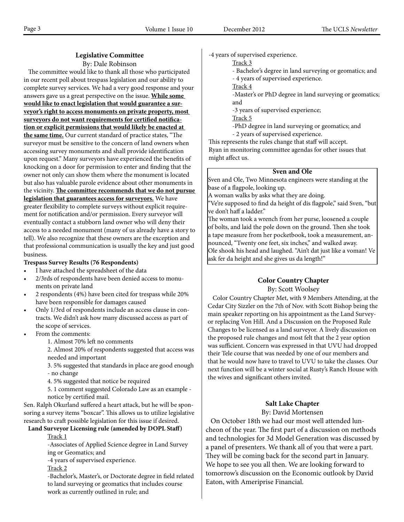# **Legislative Committee**

By: Dale Robinson

 The committee would like to thank all those who participated in our recent poll about trespass legislation and our ability to complete survey services. We had a very good response and your answers gave us a great perspective on the issue. **While some would like to enact legislation that would guarantee a surveyor's right to access monuments on private property, most surveyors do not want requirements for certified notification or explicit permissions that would likely be enacted at the same time.** Our current standard of practice states, "The surveyor must be sensitive to the concern of land owners when accessing survey monuments and shall provide identification upon request." Many surveyors have experienced the benefits of knocking on a door for permission to enter and finding that the owner not only can show them where the monument is located but also has valuable parole evidence about other monuments in the vicinity. **The committee recommends that we do not pursue legislation that guarantees access for surveyors.** We have greater flexibility to complete surveys without explicit requirement for notification and/or permission. Every surveyor will eventually contact a stubborn land owner who will deny their access to a needed monument (many of us already have a story to tell). We also recognize that these owners are the exception and that professional communication is usually the key and just good business.

# **Trespass Survey Results (76 Respondents)**

- I have attached the spreadsheet of the data
- 2/3rds of respondents have been denied access to monuments on private land
- 2 respondents (4%) have been cited for trespass while 20% have been responsible for damages caused
- Only 1/3rd of respondents include an access clause in contracts. We didn't ask how many discussed access as part of the scope of services.
- From the comments:
	- 1. Almost 70% left no comments
	- 2. Almost 20% of respondents suggested that access was needed and important
	- 3. 5% suggested that standards in place are good enough - no change

4. 5% suggested that notice be required

5. 1 comment suggested Colorado Law as an example notice by certified mail.

Sen. Ralph Okurland suffered a heart attack, but he will be sponsoring a survey items "boxcar". This allows us to utilize legislative research to craft possible legislation for this issue if desired.

### **Land Surveyor Licensing rule (amended by DOPL Staff)** Track 1

-Associates of Applied Science degree in Land Survey ing or Geomatics; and

-4 years of supervised experience.

Track 2

-Bachelor's, Master's, or Doctorate degree in field related to land surveying or geomatics that includes course work as currently outlined in rule; and

-4 years of supervised experience.

- Track 3
- Bachelor's degree in land surveying or geomatics; and
- 4 years of supervised experience.
- Track 4
- -Master's or PhD degree in land surveying or geomatics; and
- -3 years of supervised experience;

Track 5

- -PhD degree in land surveying or geomatics; and
- 2 years of supervised experience.

This represents the rules change that staff will accept. Ryan in monitoring committee agendas for other issues that might affect us.

# **Sven and Ole**

Sven and Ole, Two Minnesota engineers were standing at the base of a flagpole, looking up.

A woman walks by asks what they are doing.

"Ve're supposed to find da height of dis flagpole," said Sven, "but ve don't haff a ladder."

The woman took a wrench from her purse, loosened a couple of bolts, and laid the pole down on the ground. Then she took a tape measure from her pocketbook, took a measurement, announced, "Twenty one feet, six inches," and walked away. Ole shook his head and laughed. "Ain't dat just like a voman! Ve ask fer da height and she gives us da length!"

# **Color Country Chapter**

By: Scott Woolsey

 Color Country Chapter Met, with 9 Members Attending, at the Cedar City Sizzler on the 7th of Nov. with Scott Bishop being the main speaker reporting on his appointment as the Land Surveyor replacing Von Hill. And a Discussion on the Proposed Rule Changes to be licensed as a land surveyor. A lively discussion on the proposed rule changes and most felt that the 2 year option was sufficient. Concern was expressed in that UVU had dropped their Tele course that was needed by one of our members and that he would now have to travel to UVU to take the classes. Our next function will be a winter social at Rusty's Ranch House with the wives and significant others invited.

# **Salt Lake Chapter**

By: David Mortensen

 On October 18th we had our most well attended luncheon of the year. The first part of a discussion on methods and technologies for 3d Model Generation was discussed by a panel of presenters. We thank all of you that were a part. They will be coming back for the second part in January. We hope to see you all then. We are looking forward to tomorrow's discussion on the Economic outlook by David Eaton, with Ameriprise Financial.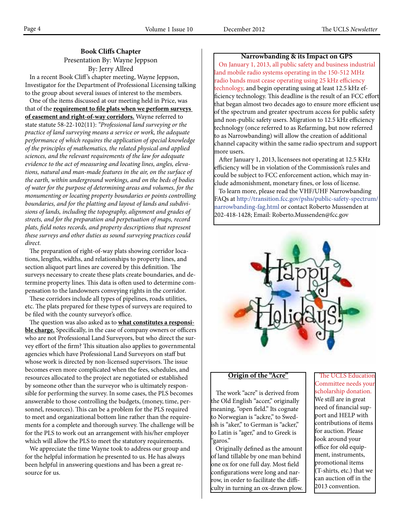# **Book Cliffs Chapter**

Presentation By: Wayne Jeppson By: Jerry Allred

 In a recent Book Cliff 's chapter meeting, Wayne Jeppson, Investigator for the Department of Professional Licensing talking to the group about several issues of interest to the members.

 One of the items discussed at our meeting held in Price, was that of the **requirement to file plats when we perform surveys of easement and right-of-way corridors.** Wayne referred to state statute 58-22-102(11): *"Professional land surveying or the practice of land surveying means a service or work, the adequate performance of which requires the application of special knowledge of the principles of mathematics, the related physical and applied sciences, and the relevant requirements of the law for adequate evidence to the act of measuring and locating lines, angles, elevations, natural and man-made features in the air, on the surface of the earth, within underground workings, and on the beds of bodies of water for the purpose of determining areas and volumes, for the monumenting or locating property boundaries or points controlling boundaries, and for the platting and layout of lands and subdivisions of lands, including the topography, alignment and grades of streets, and for the preparation and perpetuation of maps, record plats, field notes records, and property descriptions that represent these surveys and other duties as sound surveying practices could direct.*

 The preparation of right-of-way plats showing corridor locations, lengths, widths, and relationships to property lines, and section aliquot part lines are covered by this definition. The surveys necessary to create these plats create boundaries, and determine property lines. This data is often used to determine compensation to the landowners conveying rights in the corridor.

 These corridors include all types of pipelines, roads utilities, etc. The plats prepared for these types of surveys are required to be filed with the county surveyor's office.

 The question was also asked as to **what constitutes a responsible charge.** Specifically, in the case of company owners or officers who are not Professional Land Surveyors, but who direct the survey effort of the firm? This situation also applies to governmental agencies which have Professional Land Surveyors on staff but whose work is directed by non-licensed supervisors. The issue becomes even more complicated when the fees, schedules, and resources allocated to the project are negotiated or established by someone other than the surveyor who is ultimately responsible for performing the survey. In some cases, the PLS becomes answerable to those controlling the budgets, (money, time, personnel, resources). This can be a problem for the PLS required to meet and organizational bottom line rather than the requirements for a complete and thorough survey. The challenge will be for the PLS to work out an arrangement with his/her employer which will allow the PLS to meet the statutory requirements.

 We appreciate the time Wayne took to address our group and for the helpful information he presented to us. He has always been helpful in answering questions and has been a great resource for us.

# **Narrowbanding & its Impact on GPS**

 On January 1, 2013, all public safety and business industrial land mobile radio systems operating in the 150-512 MHz radio bands must cease operating using 25 kHz efficiency technology, and begin operating using at least 12.5 kHz efficiency technology. This deadline is the result of an FCC effort that began almost two decades ago to ensure more efficient use of the spectrum and greater spectrum access for public safety and non-public safety users. Migration to 12.5 kHz efficiency technology (once referred to as Refarming, but now referred to as Narrowbanding) will allow the creation of additional channel capacity within the same radio spectrum and support more users.

 After January 1, 2013, licensees not operating at 12.5 KHz efficiency will be in violation of the Commission's rules and could be subject to FCC enforcement action, which may include admonishment, monetary fines, or loss of license.

 To learn more, please read the VHF/UHF Narrowbanding FAQs at http://transition.fcc.gov/pshs/public-safety-spectrum/ narrowbanding-fag.html or contact Roberto Mussenden at 202-418-1428; Email: Roberto.Mussenden@fcc.gov



# **Origin of the "Acre"**

 The work "acre" is derived from the Old English "accer," originally meaning, "open field." Its cognate to Norwegian is "ackre," to Swedish is "aker," to German is "acker," to Latin is "ager," and to Greek is "garos."

 Originally defined as the amount of land tillable by one man behind one ox for one full day. Most field configurations were long and narrow, in order to facilitate the difficulty in turning an ox-drawn plow.

 The UCLS Education Committee needs your scholarship donation. We still are in great need of financial support and HELP with contributions of items for auction. Please look around your office for old equipment, instruments, promotional items (T-shirts, etc.) that we can auction off in the 2013 convention.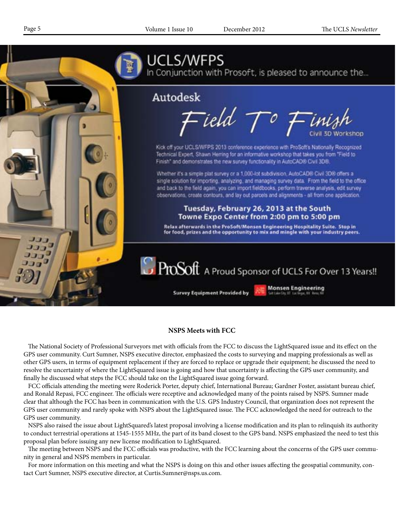

# **NSPS Meets with FCC**

 The National Society of Professional Surveyors met with officials from the FCC to discuss the LightSquared issue and its effect on the GPS user community. Curt Sumner, NSPS executive director, emphasized the costs to surveying and mapping professionals as well as other GPS users, in terms of equipment replacement if they are forced to replace or upgrade their equipment; he discussed the need to resolve the uncertainty of where the LightSquared issue is going and how that uncertainty is affecting the GPS user community, and finally he discussed what steps the FCC should take on the LightSquared issue going forward.

 FCC officials attending the meeting were Roderick Porter, deputy chief, International Bureau; Gardner Foster, assistant bureau chief, and Ronald Repasi, FCC engineer. The officials were receptive and acknowledged many of the points raised by NSPS. Sumner made clear that although the FCC has been in communication with the U.S. GPS Industry Council, that organization does not represent the GPS user community and rarely spoke with NSPS about the LightSquared issue. The FCC acknowledged the need for outreach to the GPS user community.

 NSPS also raised the issue about LightSquared's latest proposal involving a license modification and its plan to relinquish its authority to conduct terrestrial operations at 1545-1555 MHz, the part of its band closest to the GPS band. NSPS emphasized the need to test this proposal plan before issuing any new license modification to LightSquared.

 The meeting between NSPS and the FCC officials was productive, with the FCC learning about the concerns of the GPS user community in general and NSPS members in particular.

 For more information on this meeting and what the NSPS is doing on this and other issues affecting the geospatial community, contact Curt Sumner, NSPS executive director, at Curtis.Sumner@nsps.us.com.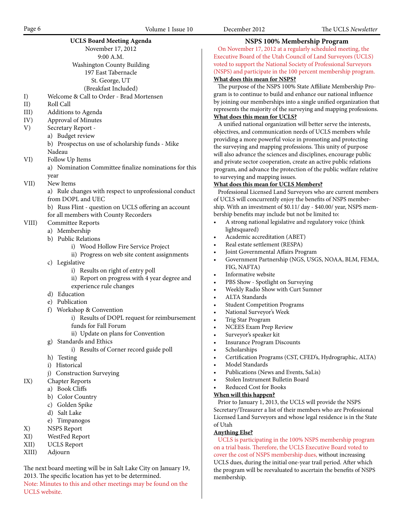|       | <b>UCLS Board Meeting Agenda</b>                       | <b>NSPS 100% Mem</b>                                          |
|-------|--------------------------------------------------------|---------------------------------------------------------------|
|       | November 17, 2012                                      | On November 17, 2012 at a reg                                 |
|       | 9:00 A.M.                                              | Executive Board of the Utah Cou                               |
|       | Washington County Building                             | voted to support the National Soo                             |
|       | 197 East Tabernacle                                    | (NSPS) and participate in the 100                             |
|       | St. George, UT                                         | What does this mean for NSPS?                                 |
|       | (Breakfast Included)                                   | The purpose of the NSPS 100%                                  |
| I)    | Welcome & Call to Order - Brad Mortensen               | gram is to continue to build and                              |
| II)   | Roll Call                                              | by joining our memberships into                               |
| III)  | Additions to Agenda                                    | represents the majority of the sur                            |
| IV)   | Approval of Minutes                                    | What does this mean for UCLS?                                 |
| V)    | Secretary Report -                                     | A unified national organization                               |
|       | a) Budget review                                       | objectives, and communication n                               |
|       | b) Prospectus on use of scholarship funds - Mike       | providing a more powerful voice                               |
|       | Nadeau                                                 | the surveying and mapping profe                               |
|       |                                                        | will also advance the sciences and                            |
| VI)   | Follow Up Items                                        | and private sector cooperation, ca                            |
|       | a) Nomination Committee finalize nominations for this  | program, and advance the protec                               |
|       | year                                                   | to surveying and mapping issues.                              |
| VII)  | New Items                                              | What does this mean for UCLS                                  |
|       | a) Rule changes with respect to unprofessional conduct | Professional Licensed Land Sur                                |
|       | from DOPL and UEC                                      | of UCLS will concurrently enjoy                               |
|       | b) Russ Flint - question on UCLS offering an account   | ship. With an investment of \$0.11                            |
|       | for all members with County Recorders                  | bership benefits may include but                              |
| VIII) | Committee Reports                                      | A strong national legislative                                 |
|       | a) Membership                                          | lightsquared)                                                 |
|       | b) Public Relations                                    | Academic accreditation (AB<br>$\bullet$                       |
|       | i) Wood Hollow Fire Service Project                    | Real estate settlement (RESF<br>$\bullet$                     |
|       | ii) Progress on web site content assignments           | Joint Governmental Affairs 1<br>$\bullet$                     |
|       | c) Legislative                                         | Government Partnership (N<br>$\bullet$                        |
|       | i) Results on right of entry poll                      | FIG, NAFTA)                                                   |
|       | ii) Report on progress with 4 year degree and          | Informative website<br>$\bullet$                              |
|       | experience rule changes                                | PBS Show - Spotlight on Sur<br>٠                              |
|       | d) Education                                           | Weekly Radio Show with Cu<br>$\bullet$                        |
|       | e) Publication                                         | <b>ALTA</b> Standards<br>$\bullet$                            |
|       | f) Workshop & Convention                               | <b>Student Competition Progra</b><br>٠                        |
|       | i) Results of DOPL request for reimbursement           | National Surveyor's Week<br>٠                                 |
|       | funds for Fall Forum                                   | Trig Star Program                                             |
|       | ii) Update on plans for Convention                     | NCEES Exam Prep Review<br>$\bullet$<br>Surveyor's speaker kit |
|       | Standards and Ethics                                   |                                                               |
|       | g)                                                     | Insurance Program Discoun                                     |
|       | i) Results of Corner record guide poll                 | Scholarships<br>٠<br>Certification Programs (CST              |
|       | h) Testing                                             | ٠<br>Model Standards                                          |
|       | i) Historical                                          | ٠<br>Publications (News and Ever                              |
|       | j) Construction Surveying                              | Stolen Instrument Bulletin E                                  |
| IX)   | <b>Chapter Reports</b>                                 | ٠<br>Reduced Cost for Books                                   |
|       | a) Book Cliffs                                         |                                                               |
|       | b) Color Country                                       | When will this happen?<br>Prior to January 1, 2013, the UO    |
|       | c) Golden Spike                                        | Secretary/Treasurer a list of their                           |
|       | d) Salt Lake                                           |                                                               |
|       | e) Timpanogos                                          | Licensed Land Surveyors and wh<br>of Utah                     |
| X)    | <b>NSPS</b> Report                                     |                                                               |
| XI)   | WestFed Report                                         | <b>Anything Else?</b><br>UCLS is participating in the 10      |
|       |                                                        |                                                               |

- XII) UCLS Report
- XIII) Adjourn

UCLS website.

The next board meeting will be in Salt Lake City on January 19, 2013. The specific location has yet to be determined. Note: Minutes to this and other meetings may be found on the

**Nembership Program** 

regularly scheduled meeting, the Council of Land Surveyors (UCLS) Society of Professional Surveyors 100 percent membership program.

# 0% State Affiliate Membership Proand enhance our national influence into a single unified organization that surveying and mapping professions. **What does this mean for UCLS?**

tion will better serve the interests, on needs of UCLS members while pice in promoting and protecting rofessions. This unity of purpose and disciplines, encourage public n, create an active public relations otection of the public welfare relative tues.

# **ELS Members?**

Surveyors who are current members ijoy the benefits of NSPS member- $50.11/$  day - \$40.00/ year, NSPS membut not be limited to:

- tive and regulatory voice (think
- (ABET)
- • Real estate settlement (RESPA)
- irs Program
- • Government Partnership (NGS, USGS, NOAA, BLM, FEMA,
- Surveying
- Curt Sumner
- ograms
- • NCEES Exam Prep Review
- ounts
- CST, CFED's, Hydrographic, ALTA)
- Events, SaLis)
- tin Board

e UCLS will provide the NSPS heir members who are Professional whose legal residence is in the State

UCLS: 100% NSPS membership program on a trial basis. Therefore, the UCLS Executive Board voted to cover the cost of NSPS membership dues, without increasing UCLS dues, during the initial one-year trail period. After which the program will be reevaluated to ascertain the benefits of NSPS membership.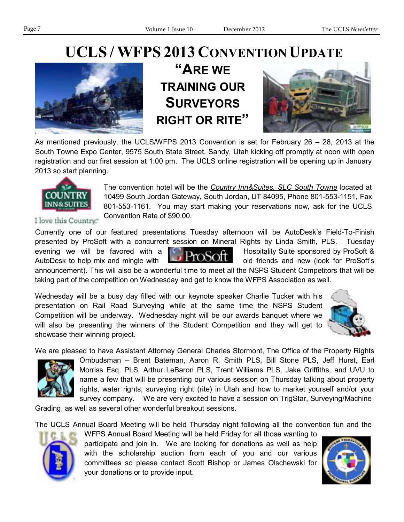# **UCLS / WFPS 2013 CONVENTION UPDATE**



**"ARE WE TRAINING OUR SURVEYORS RIGHT OR RITE"**



As mentioned previously, the UCLS/WFPS 2013 Convention is set for February 26 – 28, 2013 at the South Towne Expo Center, 9575 South State Street, Sandy, Utah kicking off promptly at noon with open registration and our first session at 1:00 pm. The UCLS online registration will be opening up in January 2013 so start planning.



The convention hotel will be the *Country Inn&Suites, SLC South Towne* located at 10499 South Jordan Gateway, South Jordan, UT 84095, Phone 801-553-1151, Fax 801-553-1161. You may start making your reservations now, ask for the UCLS Convention Rate of \$90.00.

I love this Country."

Currently one of our featured presentations Tuesday afternoon will be AutoDesk's Field-To-Finish presented by ProSoft with a concurrent session on Mineral Rights by Linda Smith, PLS. Tuesday evening we will be favored with a  $\Box$   $\Box$   $\Box$   $\Box$   $\Box$  Hospitality Suite sponsored by ProSoft & AutoDesk to help mix and mingle with **the conduction of the old friends and new (look for ProSoft's** 

announcement). This will also be a wonderful time to meet all the NSPS Student Competitors that will be taking part of the competition on Wednesday and get to know the WFPS Association as well.

Wednesday will be a busy day filled with our keynote speaker Charlie Tucker with his presentation on Rail Road Surveying while at the same time the NSPS Student Competition will be underway. Wednesday night will be our awards banquet where we will also be presenting the winners of the Student Competition and they will get to showcase their winning project.



We are pleased to have Assistant Attorney General Charles Stormont, The Office of the Property Rights



Ombudsman – Brent Bateman, Aaron R. Smith PLS, Bill Stone PLS, Jeff Hurst, Earl Morriss Esq. PLS, Arthur LeBaron PLS, Trent Williams PLS, Jake Griffiths, and UVU to name a few that will be presenting our various session on Thursday talking about property rights, water rights, surveying right (rite) in Utah and how to market yourself and/or your survey company. We are very excited to have a session on TrigStar, Surveying/Machine

Grading, as well as several other wonderful breakout sessions.

The UCLS Annual Board Meeting will be held Thursday night following all the convention fun and the



WFPS Annual Board Meeting will be held Friday for all those wanting to participate and join in. We are looking for donations as well as help with the scholarship auction from each of you and our various committees so please contact Scott Bishop or James Olschewski for your donations or to provide input.

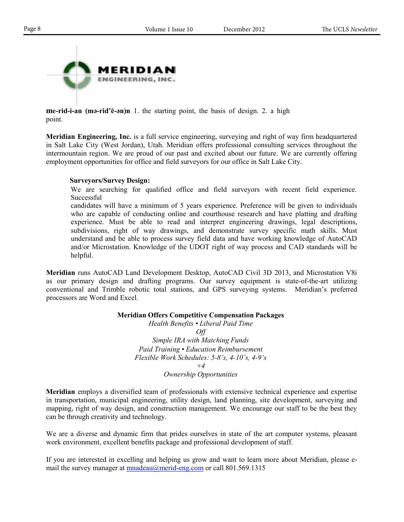

**me-rid-i-an (mә-rid'ē-әn)n** 1. the starting point, the basis of design. 2. a high point.

**Meridian Engineering, Inc.** is a full service engineering, surveying and right of way firm headquartered in Salt Lake City (West Jordan), Utah. Meridian offers professional consulting services throughout the intermountain region. We are proud of our past and excited about our future. We are currently offering employment opportunities for office and field surveyors for our office in Salt Lake City.

# **Surveyors/Survey Design:**

We are searching for qualified office and field surveyors with recent field experience. **Successful** 

candidates will have a minimum of 5 years experience. Preference will be given to individuals who are capable of conducting online and courthouse research and have platting and drafting experience. Must be able to read and interpret engineering drawings, legal descriptions, subdivisions, right of way drawings, and demonstrate survey specific math skills. Must understand and be able to process survey field data and have working knowledge of AutoCAD and/or Microstation. Knowledge of the UDOT right of way process and CAD standards will be helpful.

**Meridian** runs AutoCAD Land Development Desktop, AutoCAD Civil 3D 2013, and Microstation V8i as our primary design and drafting programs. Our survey equipment is state-of-the-art utilizing conventional and Trimble robotic total stations, and GPS surveying systems. Meridian's preferred processors are Word and Excel.

**Meridian Offers Competitive Compensation Packages**

*Health Benefits • Liberal Paid Time Off Simple IRA with Matching Funds Paid Training • Education Reimbursement Flexible Work Schedules: 5-8's, 4-10's, 4-9's +4 Ownership Opportunities*

**Meridian** employs a diversified team of professionals with extensive technical experience and expertise in transportation, municipal engineering, utility design, land planning, site development, surveying and mapping, right of way design, and construction management. We encourage our staff to be the best they can be through creativity and technology.

We are a diverse and dynamic firm that prides ourselves in state of the art computer systems, pleasant work environment, excellent benefits package and professional development of staff.

If you are interested in excelling and helping us grow and want to learn more about Meridian, please email the survey manager at mnadeau@merid-eng.com or call 801.569.1315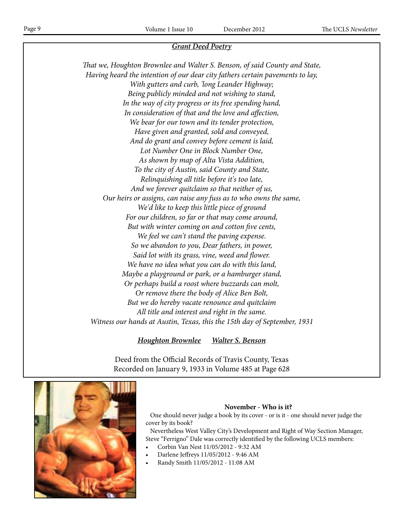# *Grant Deed Poetry*

*That we, Houghton Brownlee and Walter S. Benson, of said County and State, Having heard the intention of our dear city fathers certain pavements to lay, With gutters and curb, 'long Leander Highway; Being publicly minded and not wishing to stand, In the way of city progress or its free spending hand, In consideration of that and the love and affection, We bear for our town and its tender protection, Have given and granted, sold and conveyed, And do grant and convey before cement is laid, Lot Number One in Block Number One, As shown by map of Alta Vista Addition, To the city of Austin, said County and State, Relinquishing all title before it's too late, And we forever quitclaim so that neither of us, Our heirs or assigns, can raise any fuss as to who owns the same, We'd like to keep this little piece of ground For our children, so far or that may come around, But with winter coming on and cotton five cents, We feel we can't stand the paving expense. So we abandon to you, Dear fathers, in power, Said lot with its grass, vine, weed and flower. We have no idea what you can do with this land, Maybe a playground or park, or a hamburger stand, Or perhaps build a roost where buzzards can molt, Or remove there the body of Alice Ben Bolt, But we do hereby vacate renounce and quitclaim All title and interest and right in the same. Witness our hands at Austin, Texas, this the 15th day of September, 1931*

# *Houghton Brownlee Walter S. Benson*

Deed from the Official Records of Travis County, Texas Recorded on January 9, 1933 in Volume 485 at Page 628



# **November - Who is it?**

 One should never judge a book by its cover - or is it - one should never judge the cover by its book?

 Nevertheless West Valley City's Development and Right of Way Section Manager, Steve "Ferrigno" Dale was correctly identified by the following UCLS members:

- Corbin Van Nest 11/05/2012 9:32 AM
- Darlene Jeffreys 11/05/2012 9:46 AM
- Randy Smith 11/05/2012 11:08 AM